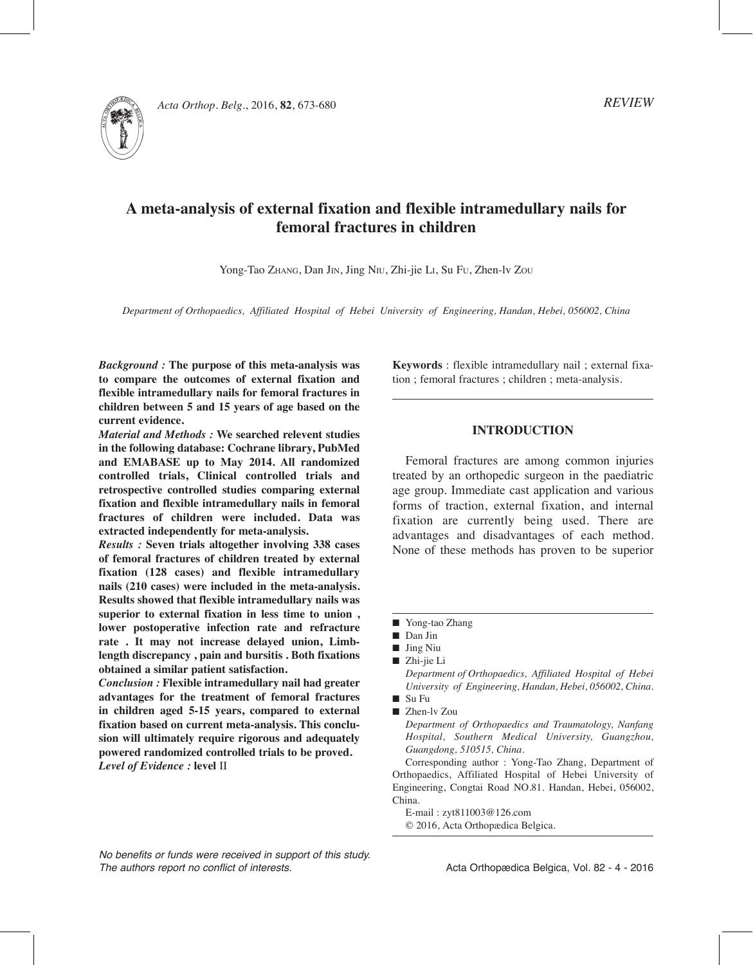

*Acta Orthop. Belg.*, 2016, **82**, 673-680

# *REVIEW*

# **A meta-analysis of external fixation and flexible intramedullary nails for femoral fractures in children**

Yong-Tao Zhang, Dan Jin, Jing Niu, Zhi-jie Li, Su Fu, Zhen-lv Zou

*Department of Orthopaedics, Affiliated Hospital of Hebei University of Engineering, Handan, Hebei, 056002, China*

*Background :* **The purpose of this meta-analysis was to compare the outcomes of external fixation and flexible intramedullary nails for femoral fractures in children between 5 and 15 years of age based on the current evidence.**

*Material and Methods :* **We searched relevent studies in the following database: Cochrane library, PubMed and EMABASE up to May 2014. All randomized controlled trials, Clinical controlled trials and retrospective controlled studies comparing external fixation and flexible intramedullary nails in femoral fractures of children were included. Data was extracted independently for meta-analysis.** 

*Results :* **Seven trials altogether involving 338 cases of femoral fractures of children treated by external fixation (128 cases) and flexible intramedullary nails (210 cases) were included in the meta-analysis. Results showed that flexible intramedullary nails was superior to external fixation in less time to union , lower postoperative infection rate and refracture rate . It may not increase delayed union, Limblength discrepancy , pain and bursitis . Both fixations obtained a similar patient satisfaction.**

*Conclusion :* **Flexible intramedullary nail had greater advantages for the treatment of femoral fractures in children aged 5-15 years, compared to external fixation based on current meta-analysis. This conclusion will ultimately require rigorous and adequately powered randomized controlled trials to be proved.**  *Level of Evidence :* **level** Ⅱ

**Keywords** : flexible intramedullary nail ; external fixation ; femoral fractures ; children ; meta-analysis.

# **Introduction**

Femoral fractures are among common injuries treated by an orthopedic surgeon in the paediatric age group. Immediate cast application and various forms of traction, external fixation, and internal fixation are currently being used. There are advantages and disadvantages of each method. None of these methods has proven to be superior

■ Yong-tao Zhang

- $\blacksquare$  Jing Niu
- Zhi-jie Li

*Department of Orthopaedics, Affiliated Hospital of Hebei University of Engineering, Handan, Hebei, 056002, China.*  $\blacksquare$  Su Fu

*Department of Orthopaedics and Traumatology, Nanfang Hospital, Southern Medical University, Guangzhou, Guangdong, 510515, China.*

Corresponding author : Yong-Tao Zhang, Department of Orthopaedics, Affiliated Hospital of Hebei University of Engineering, Congtai Road NO.81. Handan, Hebei, 056002, China.

E-mail : zyt811003@126.com

© 2016, Acta Orthopædica Belgica.

*No benefits or funds were received in support of this study. The authors report no conflict of interests.* 

Acta Orthopædica Belgica, Vol. 82 - 4 - 2016

Dan Jin

<sup>■</sup> Zhen-lv Zou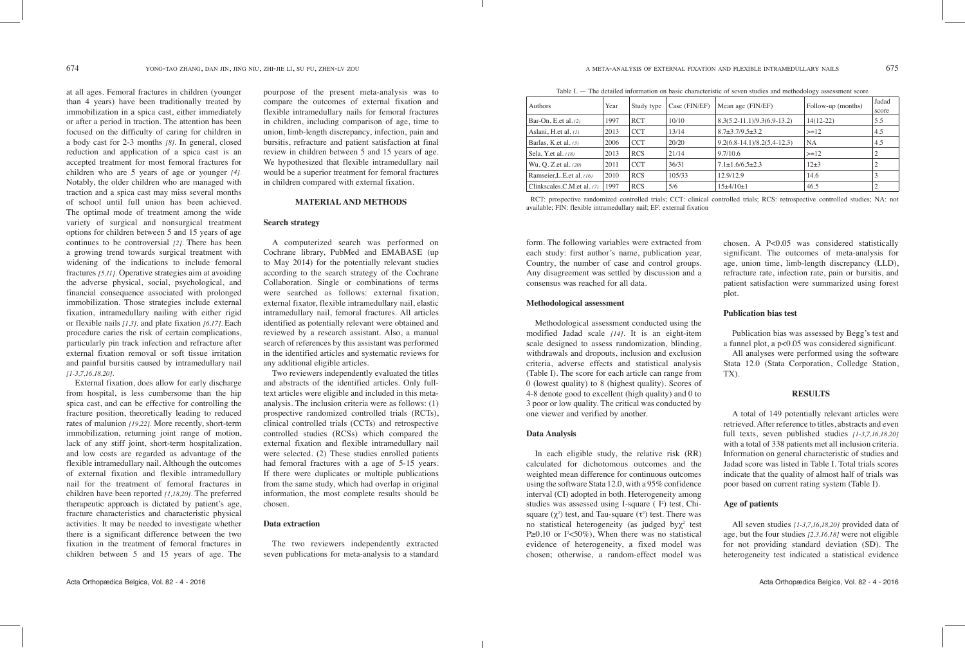# **Methodological assessment**

Methodological assessment conducted using the modified Jadad scale *[14]*. It is an eight-item scale designed to assess randomization, blinding, withdrawals and dropouts, inclusion and exclusion criteria, adverse effects and statistical analysis (Table I). The score for each article can range from 0 (lowest quality) to 8 (highest quality). Scores of 4-8 denote good to excellent (high quality) and 0 to 3 poor or low quality. The critical was conducted by one viewer and verified by another.

# **Data Analysis**

form. The following variables were extracted from each study: first author's name, publication year, Country, the number of case and control groups. Any disagreement was settled by discussion and a consensus was reached for all data. chosen. A P<0.05 was considered statistically significant. The outcomes of meta-analysis for age, union time, limb-length discrepancy (LLD), refracture rate, infection rate, pain or bursitis, and patient satisfaction were summarized using forest plot.

# **Publication bias test**

In each eligible study, the relative risk (RR) calculated for dichotomous outcomes and the weighted mean difference for continuous outcomes using the software Stata 12.0, with a 95% confidence interval (CI) adopted in both. Heterogeneity among studies was assessed using I-square  $( I<sup>2</sup>)$  test, Chisquare  $(\chi^2)$  test, and Tau-square  $(\tau^2)$  test. There was no statistical heterogeneity (as judged by χ<sup>2</sup> test P≥0.10 or  $\Gamma$  <50%), When there was no statistical evidence of heterogeneity, a fixed model was chosen; otherwise, a random-effect model was poor based on current rating system (Table I). **Age of patients** All seven studies *[1-3,7,16,18,20]* provided data of age, but the four studies *[2,3,16,18]* were not eligible for not providing standard deviation (SD). The heterogeneity test indicated a statistical evidence

Publication bias was assessed by Begg's test and a funnel plot, a p<0.05 was considered significant. All analyses were performed using the software

Stata 12.0 (Stata Corporation, Colledge Station, TX).

# **Results**

A total of 149 potentially relevant articles were retrieved. After reference to titles, abstracts and even full texts, seven published studies  $[1-3,7,16,18,20]$ with a total of 338 patients met all inclusion criteria. Information on general characteristic of studies and Jadad score was listed in Table I. Total trials scores indicate that the quality of almost half of trials was

at all ages. Femoral fractures in children (younger than 4 years) have been traditionally treated by immobilization in a spica cast, either immediately or after a period in traction. The attention has been focused on the difficulty of caring for children in a body cast for 2-3 months *[8].* In general, closed reduction and application of a spica cast is an accepted treatment for most femoral fractures for children who are 5 years of age or younger *[4].*  Notably, the older children who are managed with traction and a spica cast may miss several months of school until full union has been achieved. The optimal mode of treatment among the wide variety of surgical and nonsurgical treatment options for children between 5 and 15 years of age continues to be controversial *[2].* There has been a growing trend towards surgical treatment with widening of the indications to include femoral fractures *[5,11].* Operative strategies aim at avoiding the adverse physical, social, psychological, and financial consequence associated with prolonged immobilization. Those strategies include external fixation, intramedullary nailing with either rigid or flexible nails *[1,3],* and plate fixation *[6,17].* Each procedure caries the risk of certain complications, particularly pin track infection and refracture after external fixation removal or soft tissue irritation and painful bursitis caused by intramedullary nail *[1-3,7,16,18,20].* 

External fixation, does allow for early discharge from hospital, is less cumbersome than the hip spica cast, and can be effective for controlling the fracture position, theoretically leading to reduced rates of malunion *[19,22].* More recently, short-term immobilization, returning joint range of motion, lack of any stiff joint, short-term hospitalization, and low costs are regarded as advantage of the flexible intramedullary nail. Although the outcomes of external fixation and flexible intramedullary nail for the treatment of femoral fractures in children have been reported *[1,18,20].* The preferred therapeutic approach is dictated by patient's age, fracture characteristics and characteristic physical activities. It may be needed to investigate whether there is a significant difference between the two fixation in the treatment of femoral fractures in children between 5 and 15 years of age. The

pourpose of the present meta-analysis was to compare the outcomes of external fixation and flexible intramedullary nails for femoral fractures in children, including comparison of age, time to union, limb-length discrepancy, infection, pain and bursitis, refracture and patient satisfaction at final review in children between 5 and 15 years of age. We hypothesized that flexible intramedullary nail would be a superior treatment for femoral fractures in children compared with external fixation.

# **Material and Methods**

# **Search strategy**

A computerized search was performed on Cochrane library, PubMed and EMABASE (up to May 2014) for the potentially relevant studies according to the search strategy of the Cochrane Collaboration. Single or combinations of terms were searched as follows: external fixation, external fixator, flexible intramedullary nail, elastic intramedullary nail, femoral fractures. All articles identified as potentially relevant were obtained and reviewed by a research assistant. Also, a manual search of references by this assistant was performed in the identified articles and systematic reviews for any additional eligible articles.

Two reviewers independently evaluated the titles and abstracts of the identified articles. Only fulltext articles were eligible and included in this metaanalysis. The inclusion criteria were as follows: (1) prospective randomized controlled trials (RCTs), clinical controlled trials (CCTs) and retrospective controlled studies (RCSs) which compared the external fixation and flexible intramedullary nail were selected. (2) These studies enrolled patients had femoral fractures with a age of 5-15 years. If there were duplicates or multiple publications from the same study, which had overlap in original information, the most complete results should be chosen.

# **Data extraction**

The two reviewers independently extracted seven publications for meta-analysis to a standard

Table I. — The detailed information on basic characteristic of seven studies and methodology assessment score

| <b>Authors</b>              | Year | Study type | Case (FIN/EF) | Mean age (FIN/EF)                 | Follow-up (months) | Jadad<br>score |
|-----------------------------|------|------------|---------------|-----------------------------------|--------------------|----------------|
| Bar-On, E.et al. $(2)$      | 1997 | <b>RCT</b> | 10/10         | $8.3(5.2 - 11.1)/9.3(6.9 - 13.2)$ | $14(12-22)$        | 5.5            |
| Aslani, H.et al. $(1)$      | 2013 | <b>CCT</b> | 13/14         | $8.7 + 3.7/9.5 + 3.2$             | $>=12$             | 4.5            |
| Barlas, K.et al. $(3)$      | 2006 | <b>CCT</b> | 20/20         | $9.2(6.8-14.1)/8.2(5.4-12.3)$     | <b>NA</b>          | 4.5            |
| Sela, Y.et al. (18)         | 2013 | <b>RCS</b> | 21/14         | 9.7/10.6                          | $>=12$             | 2              |
| Wu, O. Z. et al. $(20)$     | 2011 | <b>CCT</b> | 36/31         | $7.1 + 1.6/6.5 + 2.3$             | $12+3$             | $\overline{2}$ |
| Ramseier,L.E.et al. (16)    | 2010 | <b>RCS</b> | 105/33        | 12.9/12.9                         | 14.6               | 3              |
| Clinkscales, C.M.et al. (7) | 1997 | <b>RCS</b> | 5/6           | $15+4/10+1$                       | 46.5               | ∍              |

RCT: prospective randomized controlled trials; CCT: clinical controlled trials; RCS: retrospective controlled studies; NA: not available; FIN: flexible intramedullary nail; EF: external fixation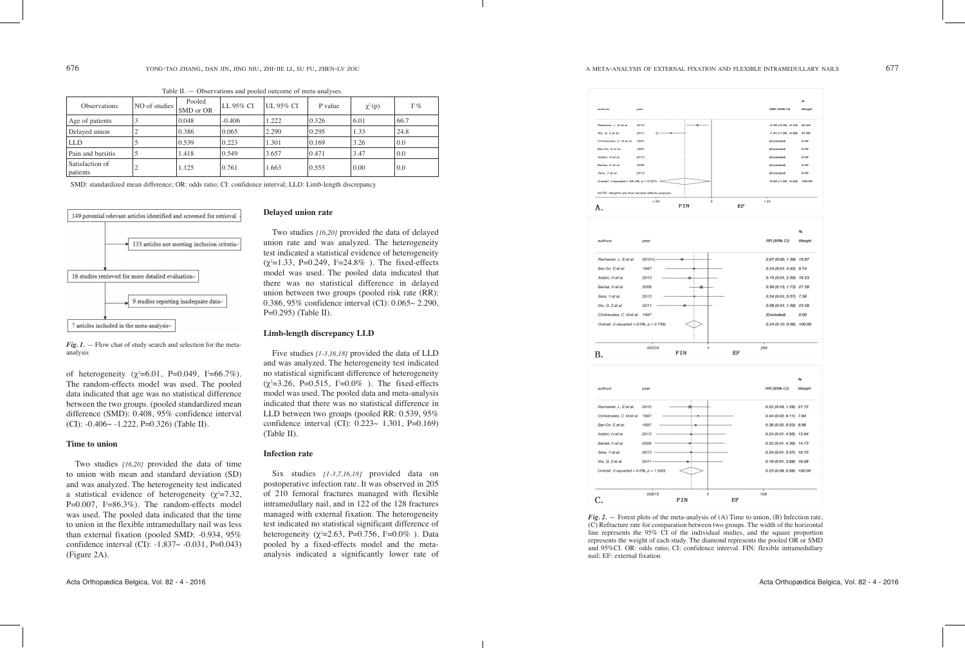|   |         | SMD (95% CI)                   | 96<br>Weight |
|---|---------|--------------------------------|--------------|
|   |         |                                |              |
|   |         | $-0.49$ $(-0.89, -0.10)$ 52.04 |              |
|   |         | $-1.41$ (-1.95, -0.88) 47.96   |              |
|   |         | (Excluded)                     | 0.00         |
|   |         | (Excluded)                     | 0.00         |
|   |         | (Excluded)                     | 0.00         |
|   |         | (Excluded)<br>(Excluded)       | 0.00         |
|   |         | $-0.93$ (-1.84, -0.03) 100.00  | 0.00         |
|   |         |                                |              |
|   | o<br>EF | 1.95                           |              |
|   |         |                                |              |
|   |         |                                |              |
|   |         |                                | 96           |
|   |         | RR (95% CI)                    | Weight       |
|   |         | 0.07 (0.00, 1.38) 15.87        |              |
|   |         | $0.24(0.01, 4.42)$ 9.74        |              |
|   |         | $0.15(0.01, 2.58)$ 16.23       |              |
|   |         | $0.50(0.15, 1.73)$ 27.38       |              |
|   |         | $0.24(0.01, 5.57)$ 7.38        |              |
|   |         |                                |              |
|   |         | 0.09 (0.01, 1.59) 23.39        |              |
|   |         | (Excluded)                     | 0.00         |
|   |         | $0.24(0.10, 0.56)$ 100.00      |              |
| 1 | EF      | 299                            |              |
|   |         |                                |              |
|   |         |                                |              |
|   |         |                                | 96           |
|   |         | RR (95% CI)                    | Weight       |
|   |         | 0.22 (0.04, 1.29) 27.72        |              |
|   |         | $0.44(0.02, 9.11)$ 7.94        |              |
|   |         | $0.36(0.02, 8.03)$ $8.86$      |              |
|   |         | $0.24(0.01, 4.65)$ 13.94       |              |
|   |         |                                |              |
|   |         | $0.22(0.01, 4.30)$ 14.73       |              |
|   |         | $0.24(0.01, 5.57)$ 10.72       |              |
|   |         | $0.18(0.01, 3.69)$ 16.09       |              |
|   |         | 0.25 (0.09, 0.69) 100.00       |              |
|   |         |                                |              |
| 1 |         | 109                            |              |
|   | EF      |                                |              |

#### **Delayed union rate**

Two studies *[16,20]* provided the data of delayed union rate and was analyzed. The heterogeneity test indicated a statistical evidence of heterogeneity  $(\chi^2=1.33, P=0.249, I^2=24.8\%)$ . The fixed-effects model was used. The pooled data indicated that there was no statistical difference in delayed union between two groups (pooled risk rate (RR): 0.386, 95% confidence interval (CI): 0.065~ 2.290, P=0.295) (Table II).

# **Limb-length discrepancy LLD**

Five studies *[1-3,16,18]* provided the data of LLD and was analyzed. The heterogeneity test indicated no statistical significant difference of heterogeneity  $(\chi^2 = 3.26, \text{ P} = 0.515, \text{ P} = 0.0\%$  ). The fixed-effects model was used. The pooled data and meta-analysis indicated that there was no statistical difference in LLD between two groups (pooled RR: 0.539, 95% confidence interval (CI): 0.223~ 1.301, P=0.169) (Table II).

#### **Infection rate**

Six studies *[1-3,7,16,18]* provided data on postoperative infection rate. It was observed in 205 of 210 femoral fractures managed with flexible intramedullary nail, and in 122 of the 128 fractures managed with external fixation. The heterogeneity test indicated no statistical significant difference of heterogeneity ( $\chi^2$ =2.63, P=0.756, I<sup>2</sup>=0.0%). Data pooled by a fixed-effects model and the metaanalysis indicated a significantly lower rate of

*Fig. 1.* – Flow chat of study search and selection for the metaanalysis

of heterogeneity  $(\chi^2=6.01, \text{ P=0.049}, \text{ I}^2=66.7\%).$ The random-effects model was used. The pooled data indicated that age was no statistical difference between the two groups. (pooled standardized mean difference (SMD): 0.408, 95% confidence interval (CI):  $-0.406 \sim -1.222$ , P=0.326) (Table II).

> *Fig. 2.* — Forest plots of the meta-analysis of (A) Time to union, (B) Infection rate, (C) Refracture rate for comparation between two groups. The width of the horizontal line represents the 95% CI of the individual studies, and the square proportion represents the weight of each study. The diamond represents the pooled OR or SMD and 95%CI. OR: odds ratio; CI: confidence interval. FIN: flexible intramedullary

#### **Time to union**

Two studies *[16,20]* provided the data of time to union with mean and standard deviation (SD) and was analyzed. The heterogeneity test indicated a statistical evidence of heterogeneity ( $\chi^2$ =7.32,  $P=0.007$ ,  $I^2=86.3\%$ ). The random-effects model was used. The pooled data indicated that the time to union in the flexible intramedullary nail was less than external fixation (pooled SMD: -0.934, 95% confidence interval (CI):  $-1.837 - 0.031$ , P=0.043) (Figure 2A).

Table II. — Observations and pooled outcome of meta-analyses.

| <b>Observations</b>         | NO of studies | Pooled<br>SMD or OR | LL 95% CI | <b>UL 95% CI</b> | P value | $\chi^2(p)$ | $I^2\%$ |
|-----------------------------|---------------|---------------------|-----------|------------------|---------|-------------|---------|
| Age of patients             | 3             | 0.048               | $-0.406$  | 1.222            | 0.326   | 6.01        | 66.7    |
| Delayed union               | ◠             | 0.386               | 0.065     | 2.290            | 0.295   | 1.33        | 24.8    |
| <b>LLD</b>                  |               | 0.539               | 0.223     | 1.301            | 0.169   | 3.26        | 0.0     |
| Pain and bursitis           |               | 1.418               | 0.549     | 3.657            | 0.471   | 3.47        | 0.0     |
| Satisfaction of<br>patients | ↑             | 1.125               | 0.761     | 1.663            | 0.555   | 0.00        | 0.0     |

SMD: standardized mean difference; OR: odds ratio; CI: confidence interval; LLD: Limb-length discrepancy





nail; EF: external fixation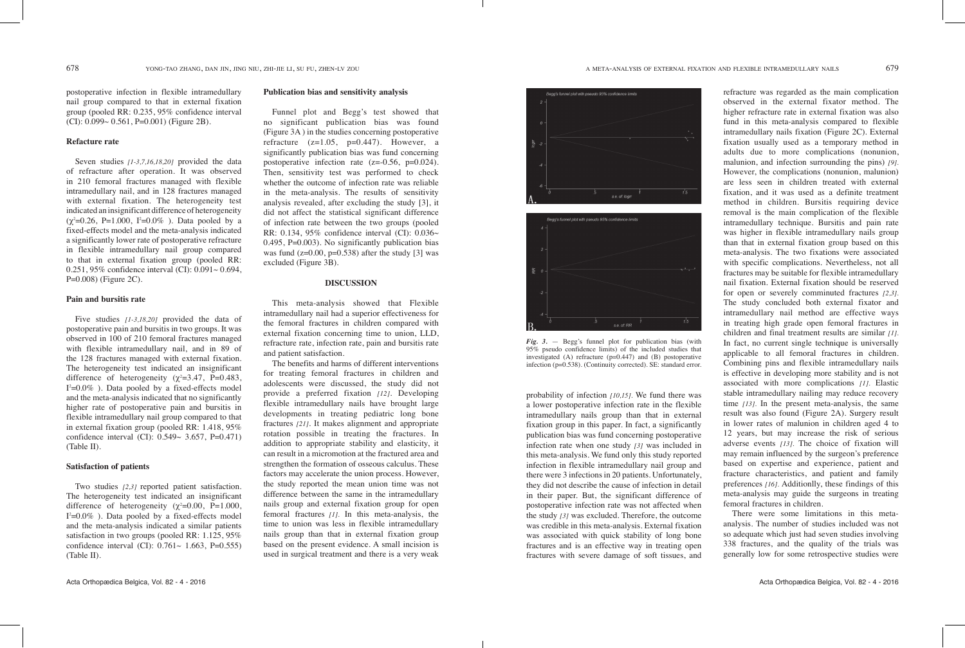refracture was regarded as the main complication observed in the external fixator method. The higher refracture rate in external fixation was also fund in this meta-analysis compared to flexible intramedullary nails fixation (Figure 2C). External fixation usually used as a temporary method in adults due to more complications (nonunion, malunion, and infection surrounding the pins) *[9].*  However, the complications (nonunion, malunion) are less seen in children treated with external fixation, and it was used as a definite treatment method in children. Bursitis requiring device removal is the main complication of the flexible intramedullary technique. Bursitis and pain rate was higher in flexible intramedullary nails group than that in external fixation group based on this meta-analysis. The two fixations were associated with specific complications. Nevertheless, not all fractures may be suitable for flexible intramedullary nail fixation. External fixation should be reserved for open or severely comminuted fractures *[2,3].* The study concluded both external fixator and intramedullary nail method are effective ways in treating high grade open femoral fractures in children and final treatment results are similar *[1].*  In fact, no current single technique is universally applicable to all femoral fractures in children. Combining pins and flexible intramedullary nails is effective in developing more stability and is not associated with more complications *[1].* Elastic stable intramedullary nailing may reduce recovery time *[13].* In the present meta-analysis, the same result was also found (Figure 2A). Surgery result in lower rates of malunion in children aged 4 to 12 years, but may increase the risk of serious adverse events *[13].* The choice of fixation will may remain influenced by the surgeon's preference based on expertise and experience, patient and fracture characteristics, and patient and family preferences *[16].* Additionlly, these findings of this meta-analysis may guide the surgeons in treating femoral fractures in children.

There were some limitations in this metaanalysis. The number of studies included was not so adequate which just had seven studies involving 338 fractures, and the quality of the trials was generally low for some retrospective studies were

postoperative infection in flexible intramedullary nail group compared to that in external fixation group (pooled RR: 0.235, 95% confidence interval (CI):  $0.099 \sim 0.561$ , P=0.001) (Figure 2B).

> probability of infection *[10,15].* We fund there was a lower postoperative infection rate in the flexible intramedullary nails group than that in external fixation group in this paper. In fact, a significantly publication bias was fund concerning postoperative infection rate when one study *[3]* was included in this meta-analysis. We fund only this study reported infection in flexible intramedullary nail group and there were 3 infections in 20 patients. Unfortunately, they did not describe the cause of infection in detail in their paper. But, the significant difference of postoperative infection rate was not affected when the study *[3]* was excluded. Therefore, the outcome was credible in this meta-analysis. External fixation was associated with quick stability of long bone fractures and is an effective way in treating open fractures with severe damage of soft tissues, and

# **Publication bias and sensitivity analysis**

Funnel plot and Begg's test showed that no significant publication bias was found (Figure 3A ) in the studies concerning postoperative refracture  $(z=1.05, p=0.447)$ . However, a significantly publication bias was fund concerning postoperative infection rate  $(z=0.56, p=0.024)$ . Then, sensitivity test was performed to check whether the outcome of infection rate was reliable in the meta-analysis. The results of sensitivity analysis revealed, after excluding the study [3], it did not affect the statistical significant difference of infection rate between the two groups (pooled RR: 0.134, 95% confidence interval (CI): 0.036~ 0.495,  $P=0.003$ ). No significantly publication bias was fund  $(z=0.00, p=0.538)$  after the study [3] was excluded (Figure 3B).

# **Discussion**

This meta-analysis showed that Flexible intramedullary nail had a superior effectiveness for the femoral fractures in children compared with external fixation concerning time to union, LLD, refracture rate, infection rate, pain and bursitis rate and patient satisfaction.

The benefits and harms of different interventions for treating femoral fractures in children and adolescents were discussed, the study did not provide a preferred fixation *[12].* Developing flexible intramedullary nails have brought large developments in treating pediatric long bone fractures *[21]*. It makes alignment and appropriate rotation possible in treating the fractures. In addition to appropriate stability and elasticity, it can result in a micromotion at the fractured area and strengthen the formation of osseous calculus. These factors may accelerate the union process. However, the study reported the mean union time was not difference between the same in the intramedullary nails group and external fixation group for open femoral fractures *[1].* In this meta-analysis, the time to union was less in flexible intramedullary nails group than that in external fixation group based on the present evidence. A small incision is used in surgical treatment and there is a very weak



# **Refacture rate**

Seven studies *[1-3,7,16,18,20]* provided the data of refracture after operation. It was observed in 210 femoral fractures managed with flexible intramedullary nail, and in 128 fractures managed with external fixation. The heterogeneity test indicated an insignificant difference of heterogeneity  $(\chi^2=0.26, P=1.000, I^2=0.0\%)$ . Data pooled by a fixed-effects model and the meta-analysis indicated a significantly lower rate of postoperative refracture in flexible intramedullary nail group compared to that in external fixation group (pooled RR: 0.251, 95% confidence interval  $(CI)$ : 0.091 $\sim$  0.694, P=0.008) (Figure 2C).

# **Pain and bursitis rate**

Five studies *[1-3,18,20]* provided the data of postoperative pain and bursitis in two groups. It was observed in 100 of 210 femoral fractures managed with flexible intramedullary nail, and in 89 of the 128 fractures managed with external fixation. The heterogeneity test indicated an insignificant difference of heterogeneity ( $\chi^2 = 3.47$ , P=0.483,  $I^2=0.0\%$  ). Data pooled by a fixed-effects model and the meta-analysis indicated that no significantly higher rate of postoperative pain and bursitis in flexible intramedullary nail group compared to that in external fixation group (pooled RR: 1.418, 95% confidence interval (CI):  $0.549 \sim 3.657$ , P=0.471) (Table II).

## **Satisfaction of patients**

Two studies *[2,3]* reported patient satisfaction. The heterogeneity test indicated an insignificant difference of heterogeneity ( $\chi^2$ =0.00, P=1.000,  $I^2=0.0\%$  ). Data pooled by a fixed-effects model and the meta-analysis indicated a similar patients satisfaction in two groups (pooled RR: 1.125, 95% confidence interval (CI):  $0.761 \sim 1.663$ , P=0.555) (Table II).



*Fig. 3.* — Begg's funnel plot for publication bias (with 95% pseudo confidence limits) of the included studies that investigated (A) refracture (p=0.447) and (B) postoperative infection (p=0.538). (Continuity corrected). SE: standard error.